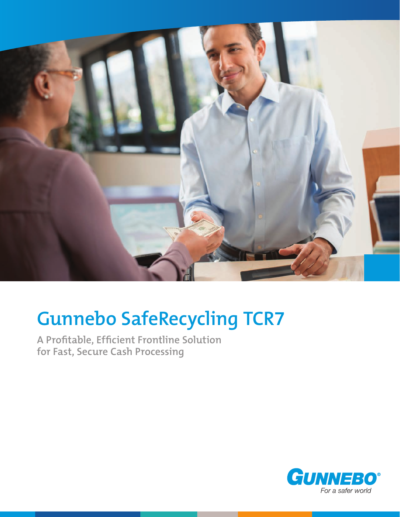

# **Gunnebo SafeRecycling TCR7**

**A Profitable, Efficient Frontline Solution for Fast, Secure Cash Processing**

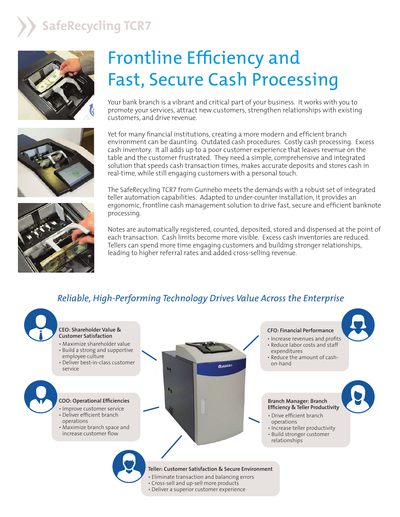### **SafeRecycling TCR7**





## Frontline Efficiency and Fast, Secure Cash Processing

Your bank branch is a vibrant and critical part of your business. It works with you to promote your services, attract new customers, strengthen relationships with existing customers, and drive revenue.

Yet for many financial institutions, creating a more modern and efficient branch environment can be daunting. Outdated cash procedures. Costly cash processing. Excess cash inventory. It all adds up to a poor customer experience that leaves revenue on the table and the customer frustrated. They need a simple, comprehensive and integrated solution that speeds cash transaction times, makes accurate deposits and stores cash in real-time, while still engaging customers with a personal touch.

The SafeRecycling TCR7 from Gunnebo meets the demands with a robust set of integrated teller automation capabilities. Adapted to under-counter installation, it provides an ergonomic, frontline cash management solution to drive fast, secure and efficient banknote processing.



Notes are automatically registered, counted, deposited, stored and dispensed at the point of each transaction. Cash limits become more visible. Excess cash inventories are reduced. Tellers can spend more time engaging customers and building stronger relationships, leading to higher referral rates and added cross-selling revenue.

#### *Reliable, High-Performing Technology Drives Value Across the Enterprise*

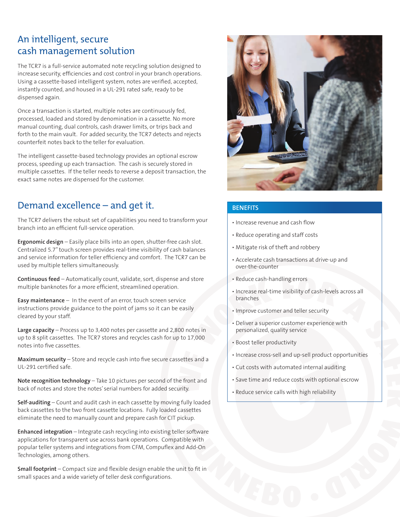#### An intelligent, secure cash management solution

The TCR7 is a full-service automated note recycling solution designed to increase security, efficiencies and cost control in your branch operations. Using a cassette-based intelligent system, notes are verified, accepted, instantly counted, and housed in a UL-291 rated safe, ready to be dispensed again.

Once a transaction is started, multiple notes are continuously fed, processed, loaded and stored by denomination in a cassette. No more manual counting, dual controls, cash drawer limits, or trips back and forth to the main vault. For added security, the TCR7 detects and rejects counterfeit notes back to the teller for evaluation.

The intelligent cassette-based technology provides an optional escrow process, speeding up each transaction. The cash is securely stored in multiple cassettes. If the teller needs to reverse a deposit transaction, the exact same notes are dispensed for the customer.

#### Demand excellence – and get it.

The TCR7 delivers the robust set of capabilities you need to transform your branch into an efficient full-service operation.

**Ergonomic design** – Easily place bills into an open, shutter-free cash slot. Centralized 5.7" touch screen provides real-time visibility of cash balances and service information for teller efficiency and comfort. The TCR7 can be used by multiple tellers simultaneously.

**Continuous feed** – Automatically count, validate, sort, dispense and store multiple banknotes for a more efficient, streamlined operation.

**Easy maintenance** – In the event of an error, touch screen service instructions provide guidance to the point of jams so it can be easily cleared by your staff.

**Large capacity** – Process up to 3,400 notes per cassette and 2,800 notes in up to 8 split cassettes. The TCR7 stores and recycles cash for up to 17,000 notes into five cassettes.

**Maximum security** – Store and recycle cash into five secure cassettes and a UL-291 certified safe.

**Note recognition technology** – Take 10 pictures per second of the front and back of notes and store the notes' serial numbers for added security.

**Self-auditing** – Count and audit cash in each cassette by moving fully loaded back cassettes to the two front cassette locations. Fully loaded cassettes eliminate the need to manually count and prepare cash for CIT pickup.

**Enhanced integration** – Integrate cash recycling into existing teller software applications for transparent use across bank operations. Compatible with popular teller systems and integrations from CFM, Compuflex and Add-On Technologies, among others.

**Small footprint** – Compact size and flexible design enable the unit to fit in small spaces and a wide variety of teller desk configurations.



#### **BENEFITS**

- Increase revenue and cash flow
- Reduce operating and staff costs
- Mitigate risk of theft and robbery
- Accelerate cash transactions at drive-up and over-the-counter
- Reduce cash-handling errors
- Increase real-time visibility of cash-levels across all branches
- Improve customer and teller security
- Deliver a superior customer experience with personalized, quality service
- Boost teller productivity
- Increase cross-sell and up-sell product opportunities
- Cut costs with automated internal auditing
- Save time and reduce costs with optional escrow
- Reduce service calls with high reliability